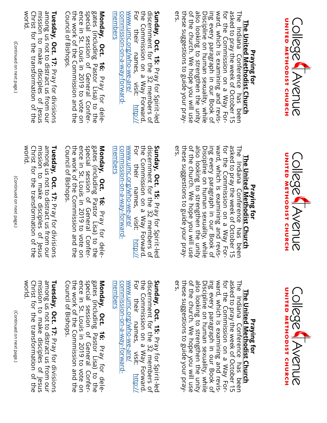





## <u>The United Methodist Church</u> **The United Methodist Church** Praying for **Praying for**

ers. of the church. We hope you will use also looking to strengthen the unity ing every paragraph in our Book of<br>Discipline on human sexuality, while asked to pray the week of October 15 The Indiana Conference has been these suggestions to guide your praythese suggestions to guide your prayof the church. We hope you will use also looking to strengthen the unity ing every paragraph in our Book of ward, which is examining and revisward, which is examining and revisfor the Commission on a Way Forfor the Commission on a Way Forasked to pray the week of October 15 The Indiana Conference has been Discipline on human sexuality, while

the Commission on a Way Forward<br>For their names, visit: [http://](http://www.umc.org/who-we-are/commission-on-a-way-forward-members) discernment for the 32 members of [commission](http://www.umc.org/who-we-are/commission-on-a-way-forward-members)[www.umc.org/who](http://www.umc.org/who-we-are/commission-on-a-way-forward-members)For their names, visit: the Commission on a Way Forward. discernment for the 32 members of **Sunday, Oct. 15:**  For their names, visit: -on-a-way-forward-we-are/ Pray for Spirit $\frac{1}{\beta}$ 

<u>[members](http://www.umc.org/who-we-are/commission-on-a-way-forward-members)</u><br>Monday, Oct. 16: Pray for dele-<br>gates (including Pastor Lisa) to the special session of General Confer-<br>ence in St. Louis in 2019 to vote on<br>the work of the Commission and the<br>Council of Bishops.<br>**Tuesday, Oct. 17:** Pray for divisions<br>among us not to distract us from our

world. Christ for the transformation of the Christ for the transformation of the mission to make disciples of Jesus among us not to distract us from our mission to make disciples of Jesus

## <u>The United Methodist Church</u> **The United Methodist Church** Praying for **Praying for**

ers. also looking to strengthen the unity<br>of the church. We hope you will use these suggestions to guide your praythese suggestions to guide your praying every paragraph in our Book of<br>Discipline on human sexuality, while ward, which is examining and revisward, which is examining and revisfor the Commission on a Way Forasked to pray the week of October 15 The Indiana Conference has been The Indiana Conference has been of the church. We hope you will use also looking to strengthen the unity Discipline on human sexuality, while ing every paragraph in our Book of for the Commission on a Way Forasked to pray the week of October 15

[www.umc.org/who](http://www.umc.org/who-we-are/commission-on-a-way-forward-members)the Commission on a Way Forward<br>For their names, visit: [http://](http://www.umc.org/who-we-are/commission-on-a-way-forward-members) POL the Commission on a Way Forward. discernment for the 32 members of [commission](http://www.umc.org/who-we-are/commission-on-a-way-forward-members)For their names, visit: discernment for the 32 members of **Sunday, Oct. 15:**  their names, visit: -on-a-way-forward-we-are/ Pray for Spirit-led

- **Monday, Oct. 16:** [members](http://www.umc.org/who-we-are/commission-on-a-way-forward-members) Pray for dele-**Special session of General Confer-**<br>ence in St. Louis in 2019 to vote on<br>the work of the Commission and the<br>Council of Bishops.<br>**Tuesday, Oct. 17:** Pray for divisions

world. Christ for the transformation of the mission to make disciples of Jesus among us not to distract us from our Christ for the transformation of the mission to make disciples of Jesus among us not to distract us from our

(Continued on next page.)

## <u>The United Methodist Church</u> **The United Methodist Church** Praying for **Praying for**

also looking to strengthen the unity<br>of the church. We hope you will use these suggestions to guide your pray-Discipline on human sexuality, while ing every paragraph in our Book of ward, which is examining and revisasked to pray the week of October 15 The Indiana Conference has been these suggestions to guide your prayof the church. We hope you will use also looking to strengthen the unity ward, which is examining and revisfor the Commission on a Way Forfor the Commission on a Way Forasked to pray the week of October 15 The Indiana Conference has been Discipline on human sexuality, while ing every paragraph in our Book of

ers.

the Commission on a Way Forward<br>For their names, visit: [http://](http://www.umc.org/who-we-are/commission-on-a-way-forward-members) discernment for the 32 members of [commission](http://www.umc.org/who-we-are/commission-on-a-way-forward-members)[www.umc.org/who](http://www.umc.org/who-we-are/commission-on-a-way-forward-members)the Commission on a Way Forward. discernment for the 32 members of **Sunday, Oct. 15:**  For their names, visit: their names, -on-a-way-forward-we-are/ Pray for Spirit-led

[members](http://www.umc.org/who-we-are/commission-on-a-way-forward-members)<br>**Monday, Oct. 16:** Pray for delegates (including Pastor Lisa) to the<br>special session of General Confer-<br>ence in St. Louis in 2019 to vote on<br>the work of the Commission and the<br>Council of Bishops.<br>**Tuesday, Oct. 17:** Pray for divisions<br>among us not to dis

mission to make disciples of Jesus world. Christ for the transformation of the among us not to distract us from our Christ for the transformation of the mission to make disciples of Jesus

(Continued on next page.) (Continued on next page.)